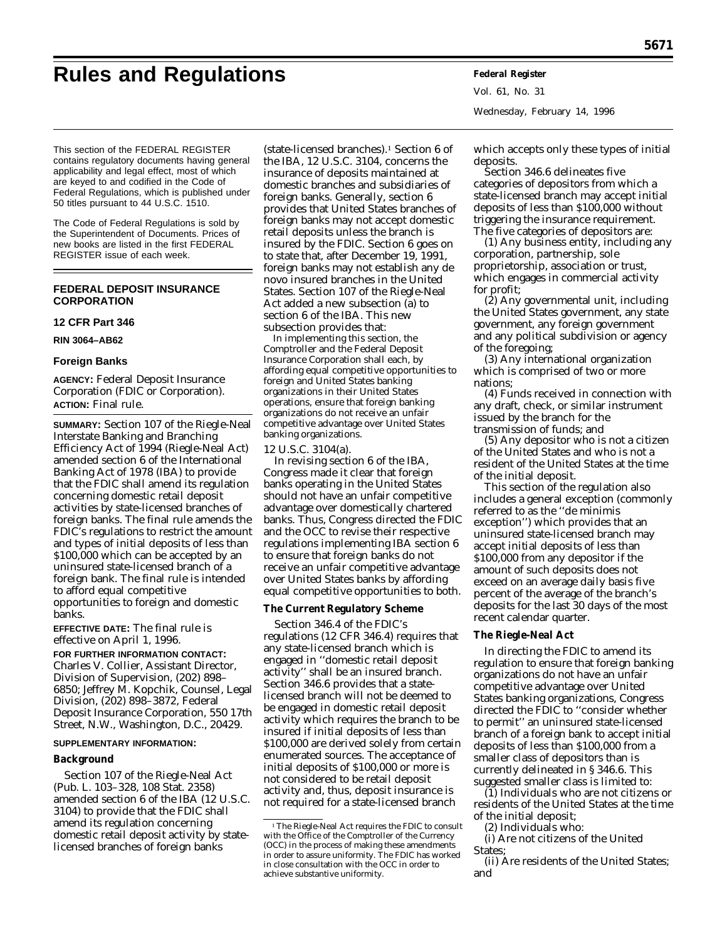# **Rules and Regulations Federal Register**

Vol. 61, No. 31 Wednesday, February 14, 1996

This section of the FEDERAL REGISTER contains regulatory documents having general applicability and legal effect, most of which are keyed to and codified in the Code of Federal Regulations, which is published under 50 titles pursuant to 44 U.S.C. 1510.

The Code of Federal Regulations is sold by the Superintendent of Documents. Prices of new books are listed in the first FEDERAL REGISTER issue of each week.

# **FEDERAL DEPOSIT INSURANCE CORPORATION**

# **12 CFR Part 346**

**RIN 3064–AB62**

## **Foreign Banks**

**AGENCY:** Federal Deposit Insurance Corporation (FDIC or Corporation). **ACTION:** Final rule.

**SUMMARY:** Section 107 of the Riegle-Neal Interstate Banking and Branching Efficiency Act of 1994 (Riegle-Neal Act) amended section 6 of the International Banking Act of 1978 (IBA) to provide that the FDIC shall amend its regulation concerning domestic retail deposit activities by state-licensed branches of foreign banks. The final rule amends the FDIC's regulations to restrict the amount and types of initial deposits of less than \$100,000 which can be accepted by an uninsured state-licensed branch of a foreign bank. The final rule is intended to afford equal competitive opportunities to foreign and domestic banks.

**EFFECTIVE DATE:** The final rule is effective on April 1, 1996.

**FOR FURTHER INFORMATION CONTACT:** Charles V. Collier, Assistant Director, Division of Supervision, (202) 898– 6850; Jeffrey M. Kopchik, Counsel, Legal Division, (202) 898–3872, Federal Deposit Insurance Corporation, 550 17th Street, N.W., Washington, D.C., 20429.

## **SUPPLEMENTARY INFORMATION:**

## **Background**

Section 107 of the Riegle-Neal Act (Pub. L. 103–328, 108 Stat. 2358) amended section 6 of the IBA (12 U.S.C. 3104) to provide that the FDIC shall amend its regulation concerning domestic retail deposit activity by statelicensed branches of foreign banks

(state-licensed branches).1 Section 6 of the IBA, 12 U.S.C. 3104, concerns the insurance of deposits maintained at domestic branches and subsidiaries of foreign banks. Generally, section 6 provides that United States branches of foreign banks may not accept domestic retail deposits unless the branch is insured by the FDIC. Section 6 goes on to state that, after December 19, 1991, foreign banks may not establish any *de novo* insured branches in the United States. Section 107 of the Riegle-Neal Act added a new subsection (a) to section 6 of the IBA. This new subsection provides that:

In implementing this section, the Comptroller and the Federal Deposit Insurance Corporation shall each, by affording equal competitive opportunities to foreign and United States banking organizations in their United States operations, ensure that foreign banking organizations do not receive an unfair competitive advantage over United States banking organizations.

## 12 U.S.C. 3104(a).

In revising section 6 of the IBA, Congress made it clear that foreign banks operating in the United States should not have an unfair competitive advantage over domestically chartered banks. Thus, Congress directed the FDIC and the OCC to revise their respective regulations implementing IBA section 6 to ensure that foreign banks do not receive an unfair competitive advantage over United States banks by affording equal competitive opportunities to both.

## **The Current Regulatory Scheme**

Section 346.4 of the FDIC's regulations (12 CFR 346.4) requires that any state-licensed branch which is engaged in ''domestic retail deposit activity'' shall be an insured branch. Section 346.6 provides that a statelicensed branch will not be deemed to be engaged in domestic retail deposit activity which requires the branch to be insured if initial deposits of less than \$100,000 are derived solely from certain enumerated sources. The acceptance of initial deposits of \$100,000 or more is not considered to be retail deposit activity and, thus, deposit insurance is not required for a state-licensed branch

which accepts only these types of initial deposits.

Section 346.6 delineates five categories of depositors from which a state-licensed branch may accept initial deposits of less than \$100,000 without triggering the insurance requirement. The five categories of depositors are:

(1) Any business entity, including any corporation, partnership, sole proprietorship, association or trust, which engages in commercial activity for profit;

(2) Any governmental unit, including the United States government, any state government, any foreign government and any political subdivision or agency of the foregoing;

(3) Any international organization which is comprised of two or more nations;

(4) Funds received in connection with any draft, check, or similar instrument issued by the branch for the transmission of funds; and

(5) Any depositor who is not a citizen of the United States and who is not a resident of the United States at the time of the initial deposit.

This section of the regulation also includes a general exception (commonly referred to as the ''*de minimis* exception'') which provides that an uninsured state-licensed branch may accept initial deposits of less than \$100,000 from any depositor if the amount of such deposits does not exceed on an average daily basis five percent of the average of the branch's deposits for the last 30 days of the most recent calendar quarter.

## **The Riegle-Neal Act**

In directing the FDIC to amend its regulation to ensure that foreign banking organizations do not have an unfair competitive advantage over United States banking organizations, Congress directed the FDIC to ''consider whether to permit'' an uninsured state-licensed branch of a foreign bank to accept initial deposits of less than \$100,000 from a smaller class of depositors than is currently delineated in § 346.6. This suggested smaller class is limited to:

 $(1)$  Individuals who are not citizens or residents of the United States at the time of the initial deposit;

(2) Individuals who:

(i) Are not citizens of the United States;

(ii) Are residents of the United States; and

<sup>&</sup>lt;sup>1</sup>The Riegle-Neal Act requires the FDIC to consult with the Office of the Comptroller of the Currency (OCC) in the process of making these amendments in order to assure uniformity. The FDIC has worked in close consultation with the OCC in order to achieve substantive uniformity.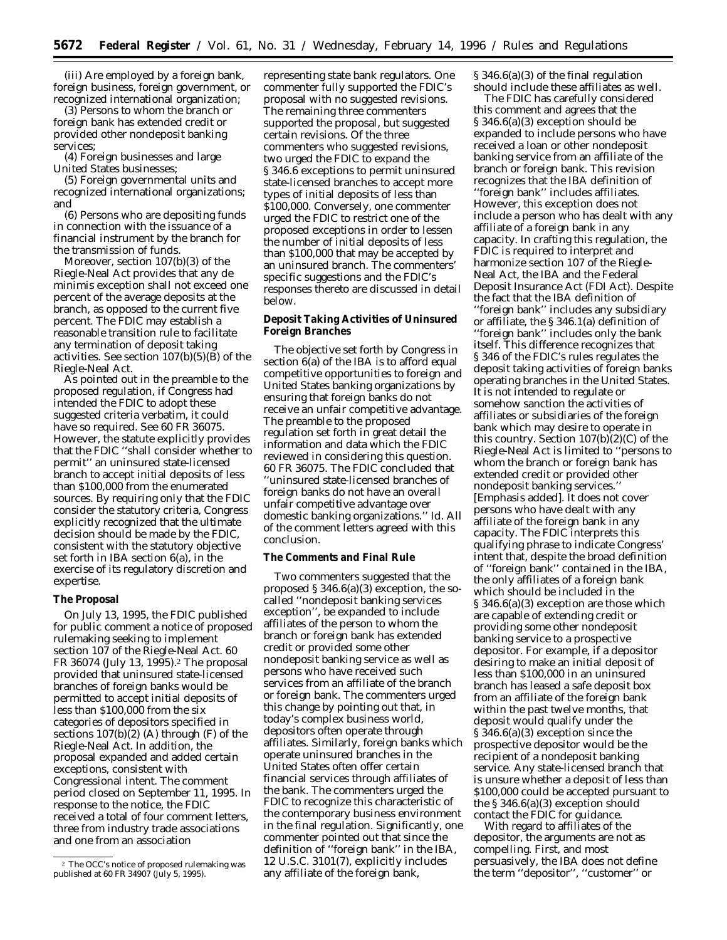(iii) Are employed by a foreign bank, foreign business, foreign government, or recognized international organization;

(3) Persons to whom the branch or foreign bank has extended credit or provided other nondeposit banking services;

(4) Foreign businesses and large United States businesses;

(5) Foreign governmental units and recognized international organizations; and

(6) Persons who are depositing funds in connection with the issuance of a financial instrument by the branch for the transmission of funds.

Moreover, section 107(b)(3) of the Riegle-Neal Act provides that any *de minimis* exception shall not exceed one percent of the average deposits at the branch, as opposed to the current five percent. The FDIC may establish a reasonable transition rule to facilitate any termination of deposit taking activities. *See* section 107(b)(5)(B) of the Riegle-Neal Act.

As pointed out in the preamble to the proposed regulation, if Congress had intended the FDIC to adopt these suggested criteria verbatim, it could have so required. *See* 60 FR 36075. However, the statute explicitly provides that the FDIC ''shall consider whether to permit'' an uninsured state-licensed branch to accept initial deposits of less than \$100,000 from the enumerated sources. By requiring only that the FDIC consider the statutory criteria, Congress explicitly recognized that the ultimate decision should be made by the FDIC, consistent with the statutory objective set forth in IBA section 6(a), in the exercise of its regulatory discretion and expertise.

## **The Proposal**

On July 13, 1995, the FDIC published for public comment a notice of proposed rulemaking seeking to implement section 107 of the Riegle-Neal Act. 60 FR 36074 (July 13, 1995).2 The proposal provided that uninsured state-licensed branches of foreign banks would be permitted to accept initial deposits of less than \$100,000 from the six categories of depositors specified in sections 107(b)(2) (A) through (F) of the Riegle-Neal Act. In addition, the proposal expanded and added certain exceptions, consistent with Congressional intent. The comment period closed on September 11, 1995. In response to the notice, the FDIC received a total of four comment letters, three from industry trade associations and one from an association

representing state bank regulators. One commenter fully supported the FDIC's proposal with no suggested revisions. The remaining three commenters supported the proposal, but suggested certain revisions. Of the three commenters who suggested revisions, two urged the FDIC to expand the § 346.6 exceptions to permit uninsured state-licensed branches to accept more types of initial deposits of less than \$100,000. Conversely, one commenter urged the FDIC to restrict one of the proposed exceptions in order to lessen the number of initial deposits of less than \$100,000 that may be accepted by an uninsured branch. The commenters' specific suggestions and the FDIC's responses thereto are discussed in detail below.

**Deposit Taking Activities of Uninsured Foreign Branches**

The objective set forth by Congress in section 6(a) of the IBA is to afford equal competitive opportunities to foreign and United States banking organizations by ensuring that foreign banks do not receive an unfair competitive advantage. The preamble to the proposed regulation set forth in great detail the information and data which the FDIC reviewed in considering this question. 60 FR 36075. The FDIC concluded that ''uninsured state-licensed branches of foreign banks do not have an overall unfair competitive advantage over domestic banking organizations.'' *Id.* All of the comment letters agreed with this conclusion.

# **The Comments and Final Rule**

Two commenters suggested that the proposed § 346.6(a)(3) exception, the socalled ''nondeposit banking services exception'', be expanded to include affiliates of the person to whom the branch or foreign bank has extended credit or provided some other nondeposit banking service as well as persons who have received such services from an affiliate of the branch or foreign bank. The commenters urged this change by pointing out that, in today's complex business world, depositors often operate through affiliates. Similarly, foreign banks which operate uninsured branches in the United States often offer certain financial services through affiliates of the bank. The commenters urged the FDIC to recognize this characteristic of the contemporary business environment in the final regulation. Significantly, one commenter pointed out that since the definition of ''foreign bank'' in the IBA, 12 U.S.C. 3101(7), explicitly includes any affiliate of the foreign bank,

§ 346.6(a)(3) of the final regulation should include these affiliates as well.

The FDIC has carefully considered this comment and agrees that the § 346.6(a)(3) exception should be expanded to include persons who have received a loan or other nondeposit banking service from an affiliate of the branch or foreign bank. This revision recognizes that the IBA definition of ''foreign bank'' includes affiliates. However, this exception does not include a person who has dealt with any affiliate of a foreign bank in any capacity. In crafting this regulation, the FDIC is required to interpret and harmonize section 107 of the Riegle-Neal Act, the IBA and the Federal Deposit Insurance Act (FDI Act). Despite the fact that the IBA definition of ''foreign bank'' includes any subsidiary or affiliate, the § 346.1(a) definition of ''foreign bank'' includes only the bank itself. This difference recognizes that § 346 of the FDIC's rules regulates the deposit taking activities of foreign banks operating branches in the United States. It is not intended to regulate or somehow sanction the activities of affiliates or subsidiaries of the foreign bank which may desire to operate in this country. Section 107(b)(2)(C) of the Riegle-Neal Act is limited to ''persons to whom the branch or foreign bank *has extended credit or provided other nondeposit banking services.''* [Emphasis added]. It does not cover persons who have dealt with any affiliate of the foreign bank in any capacity. The FDIC interprets this qualifying phrase to indicate Congress' intent that, despite the broad definition of ''foreign bank'' contained in the IBA, the only affiliates of a foreign bank which should be included in the § 346.6(a)(3) exception are those which are capable of extending credit or providing some other nondeposit banking service to a prospective depositor. For example, if a depositor desiring to make an initial deposit of less than \$100,000 in an uninsured branch has leased a safe deposit box from an affiliate of the foreign bank within the past twelve months, that deposit would qualify under the § 346.6(a)(3) exception since the prospective depositor would be the recipient of a nondeposit banking service. Any state-licensed branch that is unsure whether a deposit of less than \$100,000 could be accepted pursuant to the § 346.6(a)(3) exception should contact the FDIC for guidance.

With regard to affiliates of the depositor, the arguments are not as compelling. First, and most persuasively, the IBA does not define the term ''depositor'', ''customer'' or

<sup>2</sup> The OCC's notice of proposed rulemaking was published at 60 FR 34907 (July 5, 1995).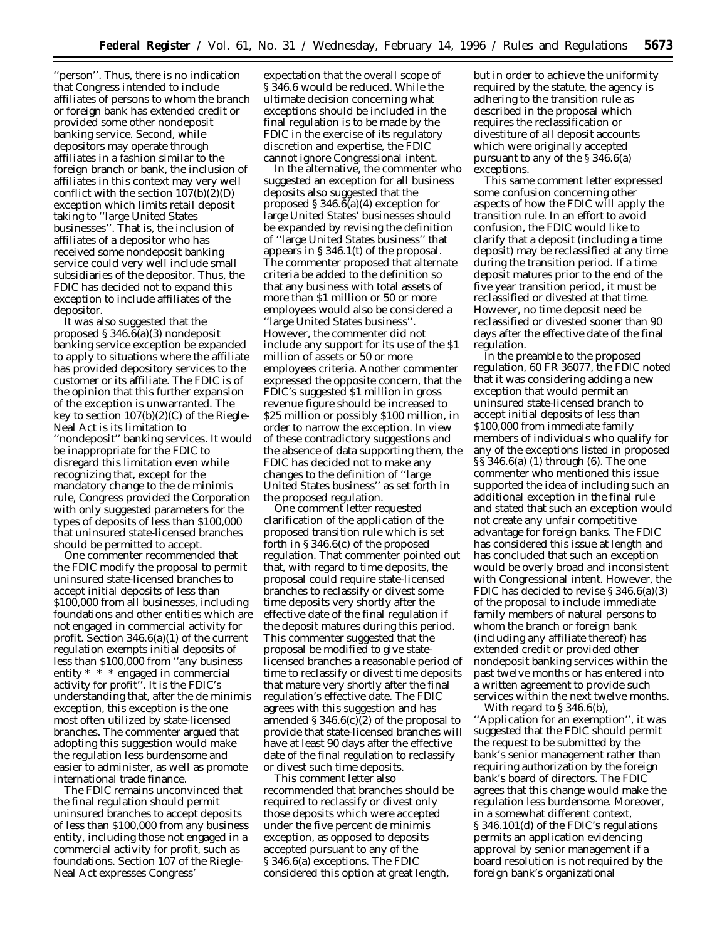"person". Thus, there is no indication that Congress intended to include affiliates of persons to whom the branch or foreign bank has extended credit or provided some other nondeposit banking service. Second, while depositors may operate through affiliates in a fashion similar to the foreign branch or bank, the inclusion of affiliates in this context may very well conflict with the section 107(b)(2)(D) exception which limits retail deposit taking to ''large United States businesses''. That is, the inclusion of affiliates of a depositor who has received some nondeposit banking service could very well include small subsidiaries of the depositor. Thus, the FDIC has decided not to expand this exception to include affiliates of the depositor.

It was also suggested that the proposed § 346.6(a)(3) nondeposit banking service exception be expanded to apply to situations where the affiliate has provided depository services to the customer or its affiliate. The FDIC is of the opinion that this further expansion of the exception is unwarranted. The key to section 107(b)(2)(C) of the Riegle-Neal Act is its limitation to ''nondeposit'' banking services. It would be inappropriate for the FDIC to disregard this limitation even while recognizing that, except for the mandatory change to the *de minimis* rule, Congress provided the Corporation with only suggested parameters for the types of deposits of less than \$100,000 that uninsured state-licensed branches should be permitted to accept.

One commenter recommended that the FDIC modify the proposal to permit uninsured state-licensed branches to accept initial deposits of less than \$100,000 from all businesses, including foundations and other entities which are not engaged in commercial activity for profit. Section 346.6(a)(1) of the current regulation exempts initial deposits of less than \$100,000 from ''any business entity \* \* \* engaged in commercial activity for profit''. It is the FDIC's understanding that, after the *de minimis* exception, this exception is the one most often utilized by state-licensed branches. The commenter argued that adopting this suggestion would make the regulation less burdensome and easier to administer, as well as promote international trade finance.

The FDIC remains unconvinced that the final regulation should permit uninsured branches to accept deposits of less than \$100,000 from any business entity, including those not engaged in a commercial activity for profit, such as foundations. Section 107 of the Riegle-Neal Act expresses Congress'

expectation that the overall scope of § 346.6 would be reduced. While the ultimate decision concerning what exceptions should be included in the final regulation is to be made by the FDIC in the exercise of its regulatory discretion and expertise, the FDIC cannot ignore Congressional intent.

In the alternative, the commenter who suggested an exception for all business deposits also suggested that the proposed § 346.6(a)(4) exception for large United States' businesses should be expanded by revising the definition of ''large United States business'' that appears in § 346.1(t) of the proposal. The commenter proposed that alternate criteria be added to the definition so that any business with total assets of more than \$1 million or 50 or more employees would also be considered a ''large United States business''. However, the commenter did not include any support for its use of the \$1 million of assets or 50 or more employees criteria. Another commenter expressed the opposite concern, that the FDIC's suggested \$1 million in gross revenue figure should be increased to \$25 million or possibly \$100 million, in order to narrow the exception. In view of these contradictory suggestions and the absence of data supporting them, the FDIC has decided not to make any changes to the definition of ''large United States business'' as set forth in the proposed regulation.

One comment letter requested clarification of the application of the proposed transition rule which is set forth in § 346.6(c) of the proposed regulation. That commenter pointed out that, with regard to time deposits, the proposal could require state-licensed branches to reclassify or divest some time deposits very shortly after the effective date of the final regulation if the deposit matures during this period. This commenter suggested that the proposal be modified to give statelicensed branches a reasonable period of time to reclassify or divest time deposits that mature very shortly after the final regulation's effective date. The FDIC agrees with this suggestion and has amended  $\S 346.6(c)(2)$  of the proposal to provide that state-licensed branches will have at least 90 days after the effective date of the final regulation to reclassify or divest such time deposits.

This comment letter also recommended that branches should be required to reclassify or divest only those deposits which were accepted under the five percent *de minimis* exception, as opposed to deposits accepted pursuant to any of the § 346.6(a) exceptions. The FDIC considered this option at great length,

but in order to achieve the uniformity required by the statute, the agency is adhering to the transition rule as described in the proposal which requires the reclassification or divestiture of all deposit accounts which were originally accepted pursuant to any of the § 346.6(a) exceptions.

This same comment letter expressed some confusion concerning other aspects of how the FDIC will apply the transition rule. In an effort to avoid confusion, the FDIC would like to clarify that a deposit (including a time deposit) may be reclassified at any time during the transition period. If a time deposit matures prior to the end of the five year transition period, it must be reclassified or divested at that time. However, no time deposit need be reclassified or divested sooner than 90 days after the effective date of the final regulation.

In the preamble to the proposed regulation, 60 FR 36077, the FDIC noted that it was considering adding a new exception that would permit an uninsured state-licensed branch to accept initial deposits of less than \$100,000 from immediate family members of individuals who qualify for any of the exceptions listed in proposed §§ 346.6(a) (1) through (6). The one commenter who mentioned this issue supported the idea of including such an additional exception in the final rule and stated that such an exception would not create any unfair competitive advantage for foreign banks. The FDIC has considered this issue at length and has concluded that such an exception would be overly broad and inconsistent with Congressional intent. However, the FDIC has decided to revise § 346.6(a)(3) of the proposal to include immediate family members of natural persons to whom the branch or foreign bank (including any affiliate thereof) has extended credit or provided other nondeposit banking services within the past twelve months or has entered into a written agreement to provide such services within the next twelve months.

With regard to § 346.6(b), ''Application for an exemption'', it was suggested that the FDIC should permit the request to be submitted by the bank's senior management rather than requiring authorization by the foreign bank's board of directors. The FDIC agrees that this change would make the regulation less burdensome. Moreover, in a somewhat different context, § 346.101(d) of the FDIC's regulations permits an application evidencing approval by senior management if a board resolution is not required by the foreign bank's organizational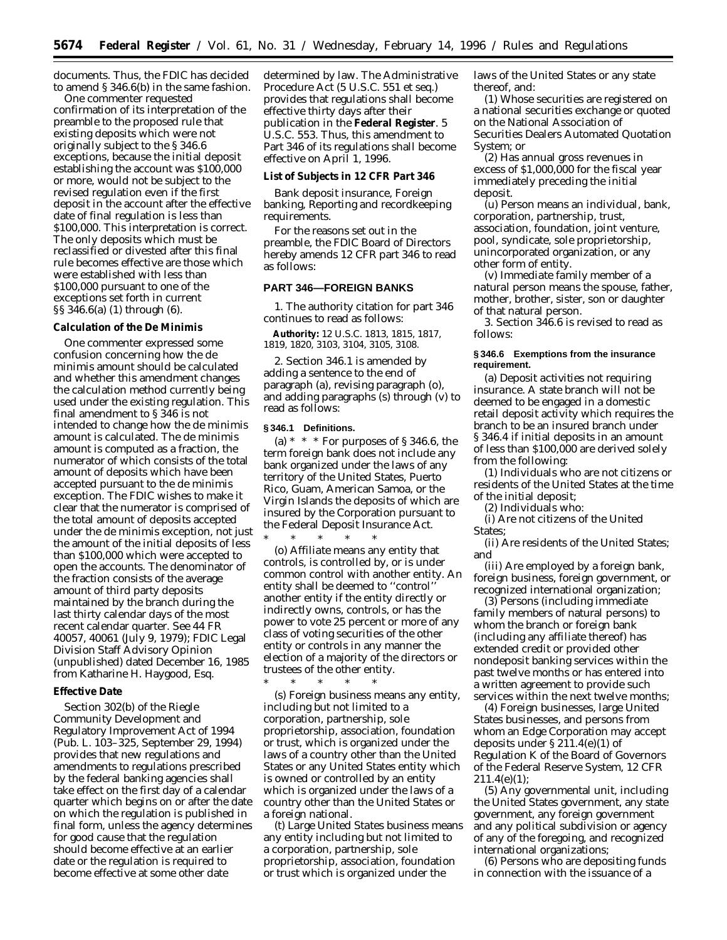documents. Thus, the FDIC has decided to amend § 346.6(b) in the same fashion.

One commenter requested confirmation of its interpretation of the preamble to the proposed rule that existing deposits which were not originally subject to the § 346.6 exceptions, because the initial deposit establishing the account was \$100,000 or more, would not be subject to the revised regulation even if the first deposit in the account after the effective date of final regulation is less than \$100,000. This interpretation is correct. The only deposits which must be reclassified or divested after this final rule becomes effective are those which were established with less than \$100,000 pursuant to one of the exceptions set forth in current §§ 346.6(a) (1) through (6).

# **Calculation of the De Minimis**

One commenter expressed some confusion concerning how the *de minimis* amount should be calculated and whether this amendment changes the calculation method currently being used under the existing regulation. This final amendment to § 346 is not intended to change how the *de minimis* amount is calculated. The *de minimis* amount is computed as a fraction, the numerator of which consists of the total amount of deposits which have been accepted pursuant to the *de minimis* exception. The FDIC wishes to make it clear that the numerator is comprised of the total amount of deposits accepted under the *de minimis* exception, not just the amount of the initial deposits of less than \$100,000 which were accepted to open the accounts. The denominator of the fraction consists of the average amount of third party deposits maintained by the branch during the last thirty calendar days of the most recent calendar quarter. See 44 FR 40057, 40061 (July 9, 1979); FDIC Legal Division Staff Advisory Opinion (unpublished) dated December 16, 1985 from Katharine H. Haygood, Esq.

## **Effective Date**

Section 302(b) of the Riegle Community Development and Regulatory Improvement Act of 1994 (Pub. L. 103–325, September 29, 1994) provides that new regulations and amendments to regulations prescribed by the federal banking agencies shall take effect on the first day of a calendar quarter which begins on or after the date on which the regulation is published in final form, unless the agency determines for good cause that the regulation should become effective at an earlier date or the regulation is required to become effective at some other date

determined by law. The Administrative Procedure Act (5 U.S.C. 551 *et seq.*) provides that regulations shall become effective thirty days after their publication in the **Federal Register**. 5 U.S.C. 553. Thus, this amendment to Part 346 of its regulations shall become effective on April 1, 1996.

## **List of Subjects in 12 CFR Part 346**

Bank deposit insurance, Foreign banking, Reporting and recordkeeping requirements.

For the reasons set out in the preamble, the FDIC Board of Directors hereby amends 12 CFR part 346 to read as follows:

#### **PART 346—FOREIGN BANKS**

1. The authority citation for part 346 continues to read as follows:

**Authority:** 12 U.S.C. 1813, 1815, 1817, 1819, 1820, 3103, 3104, 3105, 3108.

2. Section 346.1 is amended by adding a sentence to the end of paragraph (a), revising paragraph (o), and adding paragraphs (s) through (v) to read as follows:

# **§ 346.1 Definitions.**

\* \* \* \* \*

(a)  $* * *$  For purposes of § 346.6, the term foreign bank does not include any bank organized under the laws of any territory of the United States, Puerto Rico, Guam, American Samoa, or the Virgin Islands the deposits of which are insured by the Corporation pursuant to the Federal Deposit Insurance Act.

\* \* \* \* \* (o) *Affiliate* means any entity that controls, is controlled by, or is under common control with another entity. An entity shall be deemed to ''control'' another entity if the entity directly or indirectly owns, controls, or has the power to vote 25 percent or more of any class of voting securities of the other entity or controls in any manner the election of a majority of the directors or trustees of the other entity.

(s) *Foreign business* means any entity, including but not limited to a corporation, partnership, sole proprietorship, association, foundation or trust, which is organized under the laws of a country other than the United States or any United States entity which is owned or controlled by an entity which is organized under the laws of a country other than the United States or a foreign national.

(t) *Large United States business* means any entity including but not limited to a corporation, partnership, sole proprietorship, association, foundation or trust which is organized under the

laws of the United States or any state thereof, and:

(1) Whose securities are registered on a national securities exchange or quoted on the National Association of Securities Dealers Automated Quotation System; or

(2) Has annual gross revenues in excess of \$1,000,000 for the fiscal year immediately preceding the initial deposit.

(u) *Person* means an individual, bank, corporation, partnership, trust, association, foundation, joint venture, pool, syndicate, sole proprietorship, unincorporated organization, or any other form of entity.

(v) *Immediate family member of a natural person* means the spouse, father, mother, brother, sister, son or daughter of that natural person.

3. Section 346.6 is revised to read as follows:

## **§ 346.6 Exemptions from the insurance requirement.**

(a) *Deposit activities not requiring insurance.* A state branch will not be deemed to be engaged in a domestic retail deposit activity which requires the branch to be an insured branch under § 346.4 if initial deposits in an amount of less than \$100,000 are derived solely from the following:

(1) Individuals who are not citizens or residents of the United States at the time of the initial deposit;

(2) Individuals who:

(i) Are not citizens of the United States;

(ii) Are residents of the United States; and

(iii) Are employed by a foreign bank, foreign business, foreign government, or recognized international organization;

(3) Persons (including immediate family members of natural persons) to whom the branch or foreign bank (including any affiliate thereof) has extended credit or provided other nondeposit banking services within the past twelve months or has entered into a written agreement to provide such services within the next twelve months;

(4) Foreign businesses, large United States businesses, and persons from whom an Edge Corporation may accept deposits under § 211.4(e)(1) of Regulation K of the Board of Governors of the Federal Reserve System, 12 CFR  $211.4(e)(1)$ ;

(5) Any governmental unit, including the United States government, any state government, any foreign government and any political subdivision or agency of any of the foregoing, and recognized international organizations;

(6) Persons who are depositing funds in connection with the issuance of a